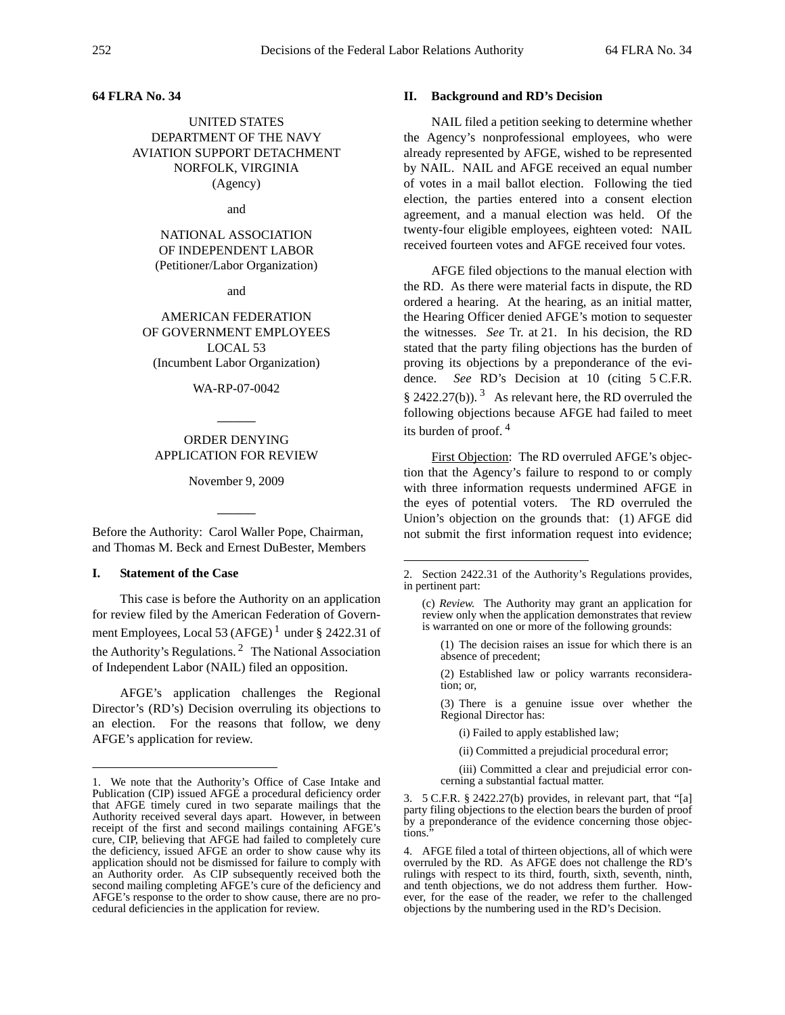### **64 FLRA No. 34**

UNITED STATES DEPARTMENT OF THE NAVY AVIATION SUPPORT DETACHMENT NORFOLK, VIRGINIA (Agency)

and

NATIONAL ASSOCIATION OF INDEPENDENT LABOR (Petitioner/Labor Organization)

and

AMERICAN FEDERATION OF GOVERNMENT EMPLOYEES LOCAL 53 (Incumbent Labor Organization)

#### WA-RP-07-0042

 $\overline{\phantom{a}}$ 

## ORDER DENYING APPLICATION FOR REVIEW

November 9, 2009

 $\overline{\phantom{a}}$ 

Before the Authority: Carol Waller Pope, Chairman, and Thomas M. Beck and Ernest DuBester, Members

#### **I. Statement of the Case**

This case is before the Authority on an application for review filed by the American Federation of Government Employees, Local 53 (AFGE)<sup>1</sup> under § 2422.31 of the Authority's Regulations. 2 The National Association of Independent Labor (NAIL) filed an opposition.

AFGE's application challenges the Regional Director's (RD's) Decision overruling its objections to an election. For the reasons that follow, we deny AFGE's application for review.

# **II. Background and RD's Decision**

NAIL filed a petition seeking to determine whether the Agency's nonprofessional employees, who were already represented by AFGE, wished to be represented by NAIL. NAIL and AFGE received an equal number of votes in a mail ballot election. Following the tied election, the parties entered into a consent election agreement, and a manual election was held. Of the twenty-four eligible employees, eighteen voted: NAIL received fourteen votes and AFGE received four votes.

AFGE filed objections to the manual election with the RD. As there were material facts in dispute, the RD ordered a hearing. At the hearing, as an initial matter, the Hearing Officer denied AFGE's motion to sequester the witnesses. *See* Tr. at 21. In his decision, the RD stated that the party filing objections has the burden of proving its objections by a preponderance of the evidence. *See* RD's Decision at 10 (citing 5 C.F.R. § 2422.27(b)).  $3\text{ A}s$  relevant here, the RD overruled the following objections because AFGE had failed to meet its burden of proof.<sup>4</sup>

First Objection: The RD overruled AFGE's objection that the Agency's failure to respond to or comply with three information requests undermined AFGE in the eyes of potential voters. The RD overruled the Union's objection on the grounds that: (1) AFGE did not submit the first information request into evidence;

(2) Established law or policy warrants reconsideration; or,

(3) There is a genuine issue over whether the Regional Director has:

(i) Failed to apply established law;

(ii) Committed a prejudicial procedural error;

(iii) Committed a clear and prejudicial error concerning a substantial factual matter.

3. 5 C.F.R. § 2422.27(b) provides, in relevant part, that "[a] party filing objections to the election bears the burden of proof by a preponderance of the evidence concerning those objections.

4. AFGE filed a total of thirteen objections, all of which were overruled by the RD. As AFGE does not challenge the RD's rulings with respect to its third, fourth, sixth, seventh, ninth, and tenth objections, we do not address them further. However, for the ease of the reader, we refer to the challenged objections by the numbering used in the RD's Decision.

<sup>1.</sup> We note that the Authority's Office of Case Intake and Publication (CIP) issued AFGE a procedural deficiency order that AFGE timely cured in two separate mailings that the Authority received several days apart. However, in between receipt of the first and second mailings containing AFGE's cure, CIP, believing that AFGE had failed to completely cure the deficiency, issued AFGE an order to show cause why its application should not be dismissed for failure to comply with an Authority order. As CIP subsequently received both the second mailing completing AFGE's cure of the deficiency and AFGE's response to the order to show cause, there are no procedural deficiencies in the application for review.

<sup>2.</sup> Section 2422.31 of the Authority's Regulations provides, in pertinent part:

<sup>(</sup>c) *Review.* The Authority may grant an application for review only when the application demonstrates that review is warranted on one or more of the following grounds:

<sup>(1)</sup> The decision raises an issue for which there is an absence of precedent;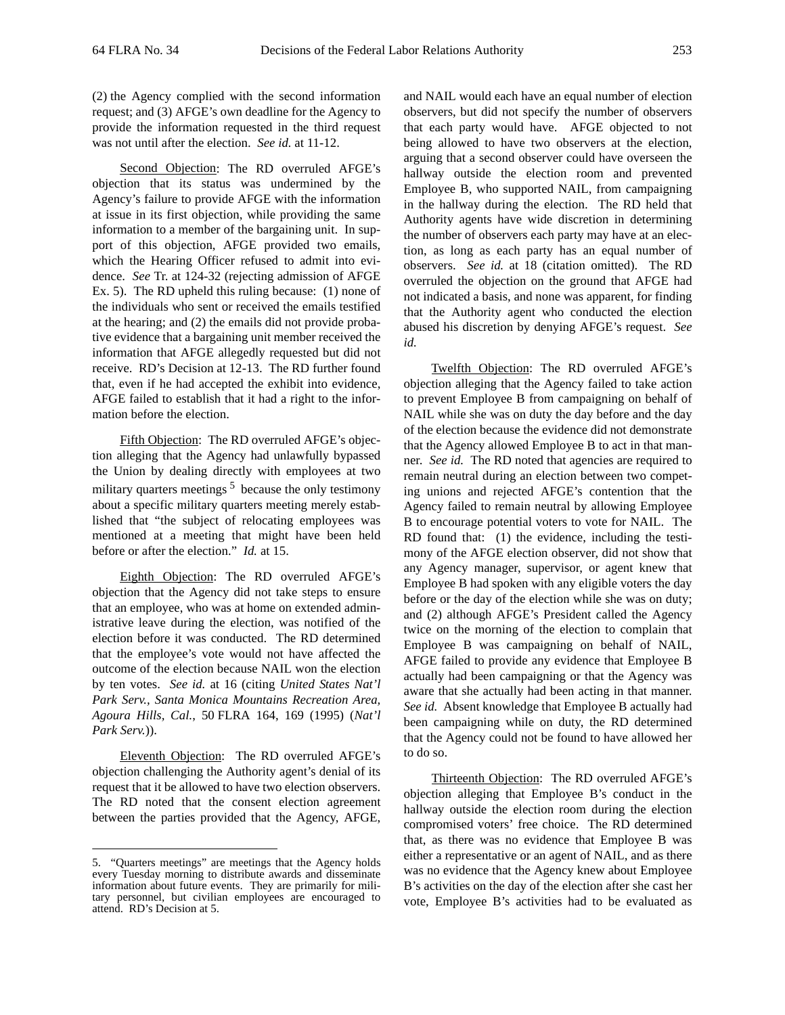(2) the Agency complied with the second information request; and (3) AFGE's own deadline for the Agency to provide the information requested in the third request was not until after the election. *See id.* at 11-12.

Second Objection: The RD overruled AFGE's objection that its status was undermined by the Agency's failure to provide AFGE with the information at issue in its first objection, while providing the same information to a member of the bargaining unit. In support of this objection, AFGE provided two emails, which the Hearing Officer refused to admit into evidence. *See* Tr. at 124-32 (rejecting admission of AFGE Ex. 5). The RD upheld this ruling because: (1) none of the individuals who sent or received the emails testified at the hearing; and (2) the emails did not provide probative evidence that a bargaining unit member received the information that AFGE allegedly requested but did not receive. RD's Decision at 12-13. The RD further found that, even if he had accepted the exhibit into evidence, AFGE failed to establish that it had a right to the information before the election.

Fifth Objection: The RD overruled AFGE's objection alleging that the Agency had unlawfully bypassed the Union by dealing directly with employees at two military quarters meetings  $5$  because the only testimony about a specific military quarters meeting merely established that "the subject of relocating employees was mentioned at a meeting that might have been held before or after the election." *Id.* at 15.

Eighth Objection: The RD overruled AFGE's objection that the Agency did not take steps to ensure that an employee, who was at home on extended administrative leave during the election, was notified of the election before it was conducted. The RD determined that the employee's vote would not have affected the outcome of the election because NAIL won the election by ten votes. *See id.* at 16 (citing *United States Nat'l Park Serv., Santa Monica Mountains Recreation Area, Agoura Hills, Cal.*, 50 FLRA 164, 169 (1995) (*Nat'l Park Serv.*)).

Eleventh Objection: The RD overruled AFGE's objection challenging the Authority agent's denial of its request that it be allowed to have two election observers. The RD noted that the consent election agreement between the parties provided that the Agency, AFGE,

and NAIL would each have an equal number of election observers, but did not specify the number of observers that each party would have. AFGE objected to not being allowed to have two observers at the election, arguing that a second observer could have overseen the hallway outside the election room and prevented Employee B, who supported NAIL, from campaigning in the hallway during the election. The RD held that Authority agents have wide discretion in determining the number of observers each party may have at an election, as long as each party has an equal number of observers. *See id.* at 18 (citation omitted). The RD overruled the objection on the ground that AFGE had not indicated a basis, and none was apparent, for finding that the Authority agent who conducted the election abused his discretion by denying AFGE's request. *See id.*

Twelfth Objection: The RD overruled AFGE's objection alleging that the Agency failed to take action to prevent Employee B from campaigning on behalf of NAIL while she was on duty the day before and the day of the election because the evidence did not demonstrate that the Agency allowed Employee B to act in that manner. *See id.* The RD noted that agencies are required to remain neutral during an election between two competing unions and rejected AFGE's contention that the Agency failed to remain neutral by allowing Employee B to encourage potential voters to vote for NAIL. The RD found that: (1) the evidence, including the testimony of the AFGE election observer, did not show that any Agency manager, supervisor, or agent knew that Employee B had spoken with any eligible voters the day before or the day of the election while she was on duty; and (2) although AFGE's President called the Agency twice on the morning of the election to complain that Employee B was campaigning on behalf of NAIL, AFGE failed to provide any evidence that Employee B actually had been campaigning or that the Agency was aware that she actually had been acting in that manner. *See id.* Absent knowledge that Employee B actually had been campaigning while on duty, the RD determined that the Agency could not be found to have allowed her to do so.

Thirteenth Objection: The RD overruled AFGE's objection alleging that Employee B's conduct in the hallway outside the election room during the election compromised voters' free choice. The RD determined that, as there was no evidence that Employee B was either a representative or an agent of NAIL, and as there was no evidence that the Agency knew about Employee B's activities on the day of the election after she cast her vote, Employee B's activities had to be evaluated as

<sup>5. &</sup>quot;Quarters meetings" are meetings that the Agency holds every Tuesday morning to distribute awards and disseminate information about future events. They are primarily for military personnel, but civilian employees are encouraged to attend. RD's Decision at 5.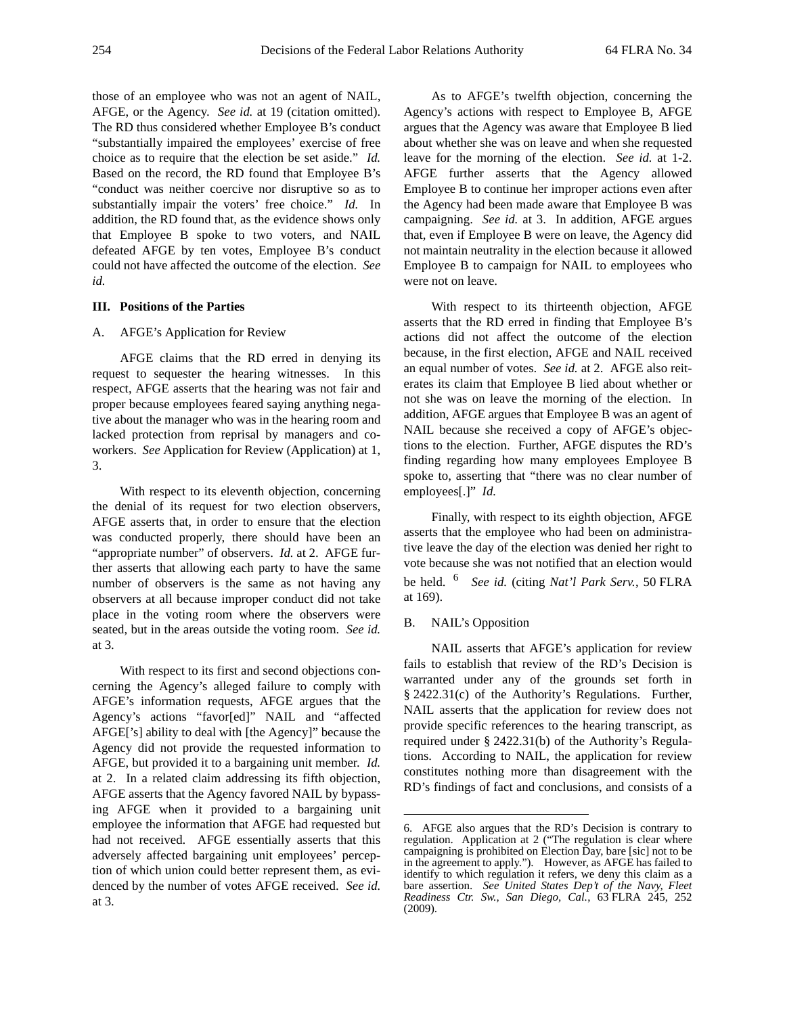those of an employee who was not an agent of NAIL, AFGE, or the Agency. *See id.* at 19 (citation omitted). The RD thus considered whether Employee B's conduct "substantially impaired the employees' exercise of free choice as to require that the election be set aside." *Id.* Based on the record, the RD found that Employee B's "conduct was neither coercive nor disruptive so as to substantially impair the voters' free choice." *Id.* In addition, the RD found that, as the evidence shows only that Employee B spoke to two voters, and NAIL defeated AFGE by ten votes, Employee B's conduct could not have affected the outcome of the election. *See id.*

#### **III. Positions of the Parties**

### A. AFGE's Application for Review

AFGE claims that the RD erred in denying its request to sequester the hearing witnesses. In this respect, AFGE asserts that the hearing was not fair and proper because employees feared saying anything negative about the manager who was in the hearing room and lacked protection from reprisal by managers and coworkers. *See* Application for Review (Application) at 1, 3.

With respect to its eleventh objection, concerning the denial of its request for two election observers, AFGE asserts that, in order to ensure that the election was conducted properly, there should have been an "appropriate number" of observers. *Id.* at 2. AFGE further asserts that allowing each party to have the same number of observers is the same as not having any observers at all because improper conduct did not take place in the voting room where the observers were seated, but in the areas outside the voting room. *See id.* at 3.

With respect to its first and second objections concerning the Agency's alleged failure to comply with AFGE's information requests, AFGE argues that the Agency's actions "favor[ed]" NAIL and "affected AFGE['s] ability to deal with [the Agency]" because the Agency did not provide the requested information to AFGE, but provided it to a bargaining unit member. *Id.* at 2. In a related claim addressing its fifth objection, AFGE asserts that the Agency favored NAIL by bypassing AFGE when it provided to a bargaining unit employee the information that AFGE had requested but had not received. AFGE essentially asserts that this adversely affected bargaining unit employees' perception of which union could better represent them, as evidenced by the number of votes AFGE received. *See id.* at 3.

As to AFGE's twelfth objection, concerning the Agency's actions with respect to Employee B, AFGE argues that the Agency was aware that Employee B lied about whether she was on leave and when she requested leave for the morning of the election. *See id.* at 1-2. AFGE further asserts that the Agency allowed Employee B to continue her improper actions even after the Agency had been made aware that Employee B was campaigning. *See id.* at 3. In addition, AFGE argues that, even if Employee B were on leave, the Agency did not maintain neutrality in the election because it allowed Employee B to campaign for NAIL to employees who were not on leave.

With respect to its thirteenth objection, AFGE asserts that the RD erred in finding that Employee B's actions did not affect the outcome of the election because, in the first election, AFGE and NAIL received an equal number of votes. *See id.* at 2. AFGE also reiterates its claim that Employee B lied about whether or not she was on leave the morning of the election. In addition, AFGE argues that Employee B was an agent of NAIL because she received a copy of AFGE's objections to the election. Further, AFGE disputes the RD's finding regarding how many employees Employee B spoke to, asserting that "there was no clear number of employees[.]" *Id.*

Finally, with respect to its eighth objection, AFGE asserts that the employee who had been on administrative leave the day of the election was denied her right to vote because she was not notified that an election would be held. 6 *See id.* (citing *Nat'l Park Serv.*, 50 FLRA at 169).

### B. NAIL's Opposition

NAIL asserts that AFGE's application for review fails to establish that review of the RD's Decision is warranted under any of the grounds set forth in § 2422.31(c) of the Authority's Regulations. Further, NAIL asserts that the application for review does not provide specific references to the hearing transcript, as required under § 2422.31(b) of the Authority's Regulations. According to NAIL, the application for review constitutes nothing more than disagreement with the RD's findings of fact and conclusions, and consists of a

<sup>6.</sup> AFGE also argues that the RD's Decision is contrary to regulation. Application at 2 ("The regulation is clear where campaigning is prohibited on Election Day, bare [sic] not to be in the agreement to apply."). However, as AFGE has failed to identify to which regulation it refers, we deny this claim as a bare assertion. *See United States Dep't of the Navy, Fleet Readiness Ctr. Sw., San Diego, Cal.*, 63 FLRA 245, 252 (2009).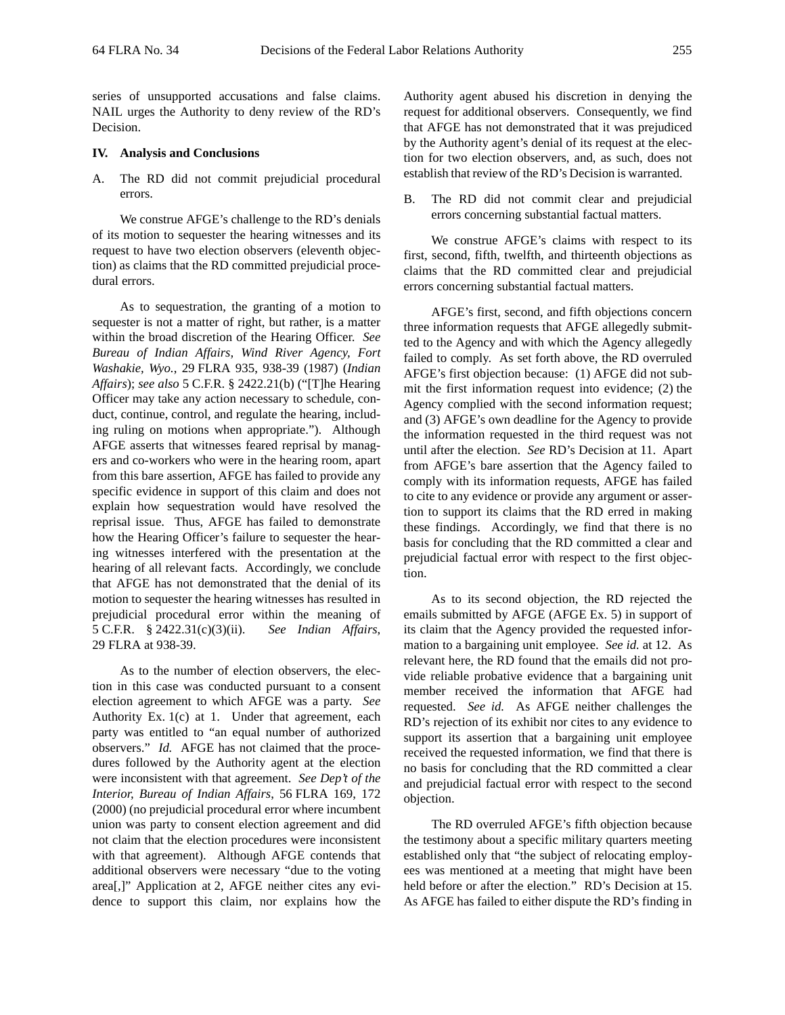series of unsupported accusations and false claims. NAIL urges the Authority to deny review of the RD's Decision.

### **IV. Analysis and Conclusions**

A. The RD did not commit prejudicial procedural errors.

We construe AFGE's challenge to the RD's denials of its motion to sequester the hearing witnesses and its request to have two election observers (eleventh objection) as claims that the RD committed prejudicial procedural errors.

As to sequestration, the granting of a motion to sequester is not a matter of right, but rather, is a matter within the broad discretion of the Hearing Officer. *See Bureau of Indian Affairs, Wind River Agency, Fort Washakie, Wyo.*, 29 FLRA 935, 938-39 (1987) (*Indian Affairs*); *see also* 5 C.F.R. § 2422.21(b) ("[T]he Hearing Officer may take any action necessary to schedule, conduct, continue, control, and regulate the hearing, including ruling on motions when appropriate."). Although AFGE asserts that witnesses feared reprisal by managers and co-workers who were in the hearing room, apart from this bare assertion, AFGE has failed to provide any specific evidence in support of this claim and does not explain how sequestration would have resolved the reprisal issue. Thus, AFGE has failed to demonstrate how the Hearing Officer's failure to sequester the hearing witnesses interfered with the presentation at the hearing of all relevant facts. Accordingly, we conclude that AFGE has not demonstrated that the denial of its motion to sequester the hearing witnesses has resulted in prejudicial procedural error within the meaning of 5 C.F.R. § 2422.31(c)(3)(ii). *See Indian Affairs*, 29 FLRA at 938-39.

As to the number of election observers, the election in this case was conducted pursuant to a consent election agreement to which AFGE was a party. *See* Authority Ex. 1(c) at 1. Under that agreement, each party was entitled to "an equal number of authorized observers." *Id.* AFGE has not claimed that the procedures followed by the Authority agent at the election were inconsistent with that agreement. *See Dep't of the Interior, Bureau of Indian Affairs*, 56 FLRA 169, 172 (2000) (no prejudicial procedural error where incumbent union was party to consent election agreement and did not claim that the election procedures were inconsistent with that agreement). Although AFGE contends that additional observers were necessary "due to the voting area[,]" Application at 2, AFGE neither cites any evidence to support this claim, nor explains how the

Authority agent abused his discretion in denying the request for additional observers. Consequently, we find that AFGE has not demonstrated that it was prejudiced by the Authority agent's denial of its request at the election for two election observers, and, as such, does not establish that review of the RD's Decision is warranted.

B. The RD did not commit clear and prejudicial errors concerning substantial factual matters.

We construe AFGE's claims with respect to its first, second, fifth, twelfth, and thirteenth objections as claims that the RD committed clear and prejudicial errors concerning substantial factual matters.

AFGE's first, second, and fifth objections concern three information requests that AFGE allegedly submitted to the Agency and with which the Agency allegedly failed to comply. As set forth above, the RD overruled AFGE's first objection because: (1) AFGE did not submit the first information request into evidence; (2) the Agency complied with the second information request; and (3) AFGE's own deadline for the Agency to provide the information requested in the third request was not until after the election. *See* RD's Decision at 11. Apart from AFGE's bare assertion that the Agency failed to comply with its information requests, AFGE has failed to cite to any evidence or provide any argument or assertion to support its claims that the RD erred in making these findings. Accordingly, we find that there is no basis for concluding that the RD committed a clear and prejudicial factual error with respect to the first objection.

As to its second objection, the RD rejected the emails submitted by AFGE (AFGE Ex. 5) in support of its claim that the Agency provided the requested information to a bargaining unit employee. *See id.* at 12. As relevant here, the RD found that the emails did not provide reliable probative evidence that a bargaining unit member received the information that AFGE had requested. *See id.* As AFGE neither challenges the RD's rejection of its exhibit nor cites to any evidence to support its assertion that a bargaining unit employee received the requested information, we find that there is no basis for concluding that the RD committed a clear and prejudicial factual error with respect to the second objection.

The RD overruled AFGE's fifth objection because the testimony about a specific military quarters meeting established only that "the subject of relocating employees was mentioned at a meeting that might have been held before or after the election." RD's Decision at 15. As AFGE has failed to either dispute the RD's finding in